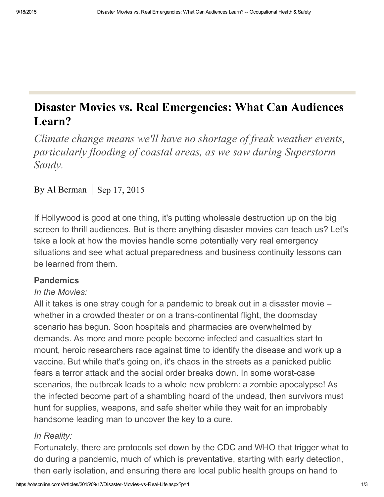# Disaster Movies vs. Real Emergencies: What Can Audiences Learn?

Climate change means we'll have no shortage of freak weather events, particularly flooding of coastal areas, as we saw during Superstorm Sandy.

## By Al Berman Sep 17, 2015

If Hollywood is good at one thing, it's putting wholesale destruction up on the big screen to thrill audiences. But is there anything disaster movies can teach us? Let's take a look at how the movies handle some potentially very real emergency situations and see what actual preparedness and business continuity lessons can be learned from them.

## Pandemics

#### *In the Movies:*

All it takes is one stray cough for a pandemic to break out in a disaster movie – whether in a crowded theater or on a trans-continental flight, the doomsday scenario has begun. Soon hospitals and pharmacies are overwhelmed by demands. As more and more people become infected and casualties start to mount, heroic researchers race against time to identify the disease and work up a vaccine. But while that's going on, it's chaos in the streets as a panicked public fears a terror attack and the social order breaks down. In some worst-case scenarios, the outbreak leads to a whole new problem: a zombie apocalypse! As the infected become part of a shambling hoard of the undead, then survivors must hunt for supplies, weapons, and safe shelter while they wait for an improbably handsome leading man to uncover the key to a cure.

## *In Reality:*

Fortunately, there are protocols set down by the CDC and WHO that trigger what to do during a pandemic, much of which is preventative, starting with early detection, then early isolation, and ensuring there are local public health groups on hand to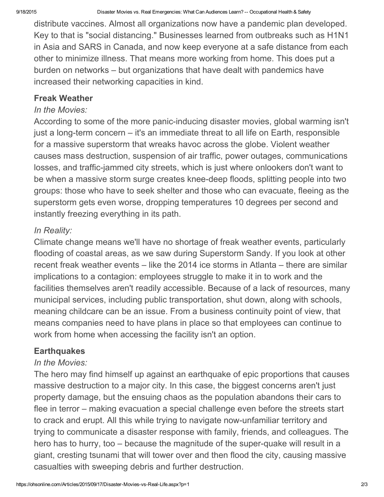distribute vaccines. Almost all organizations now have a pandemic plan developed. Key to that is "social distancing." Businesses learned from outbreaks such as H1N1 in Asia and SARS in Canada, and now keep everyone at a safe distance from each other to minimize illness. That means more working from home. This does put a burden on networks – but organizations that have dealt with pandemics have increased their networking capacities in kind.

#### Freak Weather

#### *In the Movies:*

According to some of the more panic-inducing disaster movies, global warming isn't just a long-term concern  $-$  it's an immediate threat to all life on Earth, responsible for a massive superstorm that wreaks havoc across the globe. Violent weather causes mass destruction, suspension of air traffic, power outages, communications losses, and traffic-jammed city streets, which is just where onlookers don't want to be when a massive storm surge creates knee-deep floods, splitting people into two groups: those who have to seek shelter and those who can evacuate, fleeing as the superstorm gets even worse, dropping temperatures 10 degrees per second and instantly freezing everything in its path.

## *In Reality:*

Climate change means we'll have no shortage of freak weather events, particularly flooding of coastal areas, as we saw during Superstorm Sandy. If you look at other recent freak weather events – like the 2014 ice storms in Atlanta – there are similar implications to a contagion: employees struggle to make it in to work and the facilities themselves aren't readily accessible. Because of a lack of resources, many municipal services, including public transportation, shut down, along with schools, meaning childcare can be an issue. From a business continuity point of view, that means companies need to have plans in place so that employees can continue to work from home when accessing the facility isn't an option.

## **Earthquakes**

## *In the Movies:*

The hero may find himself up against an earthquake of epic proportions that causes massive destruction to a major city. In this case, the biggest concerns aren't just property damage, but the ensuing chaos as the population abandons their cars to flee in terror – making evacuation a special challenge even before the streets start to crack and erupt. All this while trying to navigate now-unfamiliar territory and trying to communicate a disaster response with family, friends, and colleagues. The hero has to hurry, too  $-$  because the magnitude of the super-quake will result in a giant, cresting tsunami that will tower over and then flood the city, causing massive casualties with sweeping debris and further destruction.